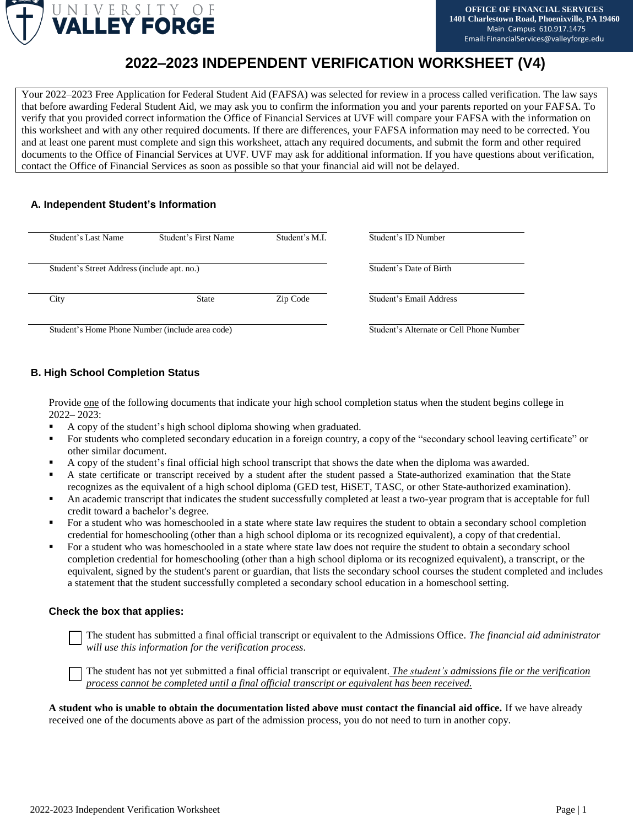

# **2022–2023 INDEPENDENT VERIFICATION WORKSHEET (V4)**

Your 2022–2023 Free Application for Federal Student Aid (FAFSA) was selected for review in a process called verification. The law says that before awarding Federal Student Aid, we may ask you to confirm the information you and your parents reported on your FAFSA. To verify that you provided correct information the Office of Financial Services at UVF will compare your FAFSA with the information on this worksheet and with any other required documents. If there are differences, your FAFSA information may need to be corrected. You and at least one parent must complete and sign this worksheet, attach any required documents, and submit the form and other required documents to the Office of Financial Services at UVF. UVF may ask for additional information. If you have questions about verification, contact the Office of Financial Services as soon as possible so that your financial aid will not be delayed.

### **A. Independent Student's Information**

|                                                 | Student's Last Name                         | Student's First Name | Student's M.I.                           | Student's ID Number     |
|-------------------------------------------------|---------------------------------------------|----------------------|------------------------------------------|-------------------------|
|                                                 | Student's Street Address (include apt. no.) |                      |                                          | Student's Date of Birth |
|                                                 | City                                        | <b>State</b>         | Zip Code                                 | Student's Email Address |
| Student's Home Phone Number (include area code) |                                             |                      | Student's Alternate or Cell Phone Number |                         |

# **B. High School Completion Status**

Provide one of the following documents that indicate your high school completion status when the student begins college in 2022– 2023:

- A copy of the student's high school diploma showing when graduated.
- For students who completed secondary education in a foreign country, a copy of the "secondary school leaving certificate" or other similar document.
- A copy of the student's final official high school transcript that shows the date when the diploma was awarded.
- A state certificate or transcript received by a student after the student passed a State-authorized examination that the State recognizes as the equivalent of a high school diploma (GED test, HiSET, TASC, or other State-authorized examination).
- An academic transcript that indicates the student successfully completed at least a two-year program that is acceptable for full credit toward a bachelor's degree.
- For a student who was homeschooled in a state where state law requires the student to obtain a secondary school completion credential for homeschooling (other than a high school diploma or its recognized equivalent), a copy of that credential.
- For a student who was homeschooled in a state where state law does not require the student to obtain a secondary school completion credential for homeschooling (other than a high school diploma or its recognized equivalent), a transcript, or the equivalent, signed by the student's parent or guardian, that lists the secondary school courses the student completed and includes a statement that the student successfully completed a secondary school education in a homeschool setting.

#### **Check the box that applies:**

The student has submitted a final official transcript or equivalent to the Admissions Office. *The financial aid administrator will use this information for the verification process*.

The student has not yet submitted a final official transcript or equivalent. *The student's admissions file or the verification process cannot be completed until a final official transcript or equivalent has been received.*

**A student who is unable to obtain the documentation listed above must contact the financial aid office.** If we have already received one of the documents above as part of the admission process, you do not need to turn in another copy.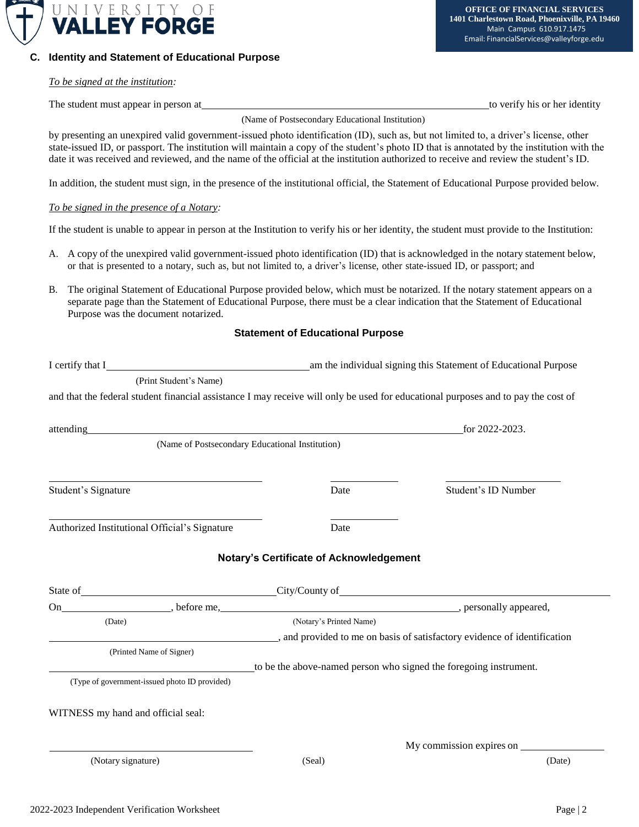

# **C. Identity and Statement of Educational Purpose**

*To be signed at the institution:*

The student must appear in person at the student must appear in person at the student must appear in person at

(Name of Postsecondary Educational Institution)

by presenting an unexpired valid government-issued photo identification (ID), such as, but not limited to, a driver's license, other state-issued ID, or passport. The institution will maintain a copy of the student's photo ID that is annotated by the institution with the date it was received and reviewed, and the name of the official at the institution authorized to receive and review the student's ID.

In addition, the student must sign, in the presence of the institutional official, the Statement of Educational Purpose provided below.

#### *To be signed in the presence of a Notary:*

If the student is unable to appear in person at the Institution to verify his or her identity, the student must provide to the Institution:

- A. A copy of the unexpired valid government-issued photo identification (ID) that is acknowledged in the notary statement below, or that is presented to a notary, such as, but not limited to, a driver's license, other state-issued ID, or passport; and
- B. The original Statement of Educational Purpose provided below, which must be notarized. If the notary statement appears on a separate page than the Statement of Educational Purpose, there must be a clear indication that the Statement of Educational Purpose was the document notarized.

#### **Statement of Educational Purpose**

| (Print Student's Name)                                                                                                                                                                                                        |                                                                   |                          |  |
|-------------------------------------------------------------------------------------------------------------------------------------------------------------------------------------------------------------------------------|-------------------------------------------------------------------|--------------------------|--|
| and that the federal student financial assistance I may receive will only be used for educational purposes and to pay the cost of                                                                                             |                                                                   |                          |  |
|                                                                                                                                                                                                                               |                                                                   |                          |  |
| attending and the contract of the contract of the contract of the contract of the contract of the contract of the contract of the contract of the contract of the contract of the contract of the contract of the contract of | for 2022-2023.                                                    |                          |  |
| (Name of Postsecondary Educational Institution)                                                                                                                                                                               |                                                                   |                          |  |
| the control of the control of the control of the control of the control of the control of                                                                                                                                     |                                                                   |                          |  |
| Student's Signature                                                                                                                                                                                                           | Date                                                              | Student's ID Number      |  |
|                                                                                                                                                                                                                               |                                                                   |                          |  |
| Authorized Institutional Official's Signature                                                                                                                                                                                 | Date                                                              |                          |  |
|                                                                                                                                                                                                                               |                                                                   |                          |  |
|                                                                                                                                                                                                                               | <b>Notary's Certificate of Acknowledgement</b>                    |                          |  |
| State of City/County of City/County of City/County of City/County of City/County of City/County of City/County of City                                                                                                        |                                                                   |                          |  |
|                                                                                                                                                                                                                               |                                                                   |                          |  |
| (Date)                                                                                                                                                                                                                        | (Notary's Printed Name)                                           |                          |  |
| and provided to me on basis of satisfactory evidence of identification                                                                                                                                                        |                                                                   |                          |  |
| (Printed Name of Signer)                                                                                                                                                                                                      |                                                                   |                          |  |
|                                                                                                                                                                                                                               | to be the above-named person who signed the foregoing instrument. |                          |  |
| (Type of government-issued photo ID provided)                                                                                                                                                                                 |                                                                   |                          |  |
|                                                                                                                                                                                                                               |                                                                   |                          |  |
| WITNESS my hand and official seal:                                                                                                                                                                                            |                                                                   |                          |  |
|                                                                                                                                                                                                                               |                                                                   | My commission expires on |  |
| (Notary signature)                                                                                                                                                                                                            | (Seal)                                                            | (Date)                   |  |
|                                                                                                                                                                                                                               |                                                                   |                          |  |